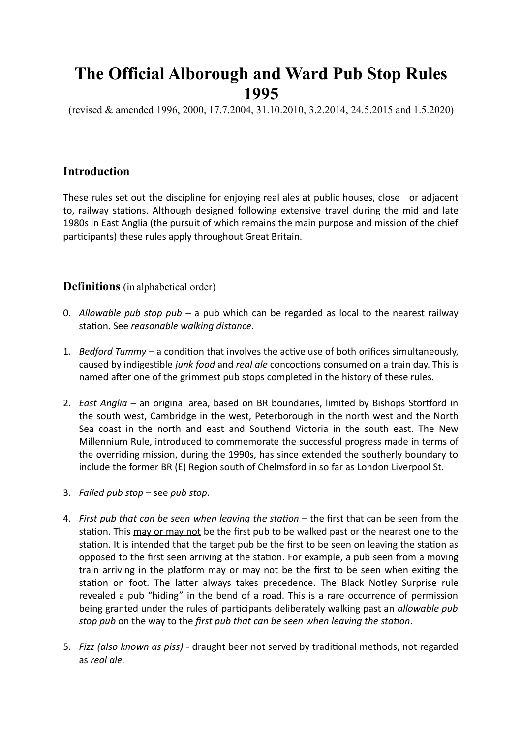# **The Official Alborough and Ward Pub Stop Rules 1995**

(revised & amended 1996, 2000, 17.7.2004, 31.10.2010, 3.2.2014, 24.5.2015 and 1.5.2020)

# **Introduction**

These rules set out the discipline for enjoying real ales at public houses, close or adjacent to, railway stations. Although designed following extensive travel during the mid and late 1980s in East Anglia (the pursuit of which remains the main purpose and mission of the chief participants) these rules apply throughout Great Britain.

## **Definitions** (in alphabetical order)

- 0. *Allowable pub stop pub* a pub which can be regarded as local to the nearest railway station. See *reasonable walking distance*.
- 1. *Bedford Tummy* a condition that involves the active use of both orifices simultaneously, caused by indigestible *junk food* and *real ale* concoctions consumed on a train day. This is named after one of the grimmest pub stops completed in the history of these rules.
- 2. *East Anglia* an original area, based on BR boundaries, limited by Bishops Stortford in the south west, Cambridge in the west, Peterborough in the north west and the North Sea coast in the north and east and Southend Victoria in the south east. The New Millennium Rule, introduced to commemorate the successful progress made in terms of the overriding mission, during the 1990s, has since extended the southerly boundary to include the former BR (E) Region south of Chelmsford in so far as London Liverpool St.
- 3. *Failed pub stop* see *pub stop*.
- 4. *First pub that can be seen when leaving the station* the first that can be seen from the station. This may or may not be the first pub to be walked past or the nearest one to the station. It is intended that the target pub be the first to be seen on leaving the station as opposed to the first seen arriving at the station. For example, a pub seen from a moving train arriving in the platform may or may not be the first to be seen when exiting the station on foot. The latter always takes precedence. The Black Notley Surprise rule revealed a pub "hiding" in the bend of a road. This is a rare occurrence of permission being granted under the rules of participants deliberately walking past an *allowable pub stop pub* on the way to the *first pub that can be seen when leaving the station*.
- 5. *Fizz (also known as piss)* draught beer not served by traditional methods, not regarded as *real ale.*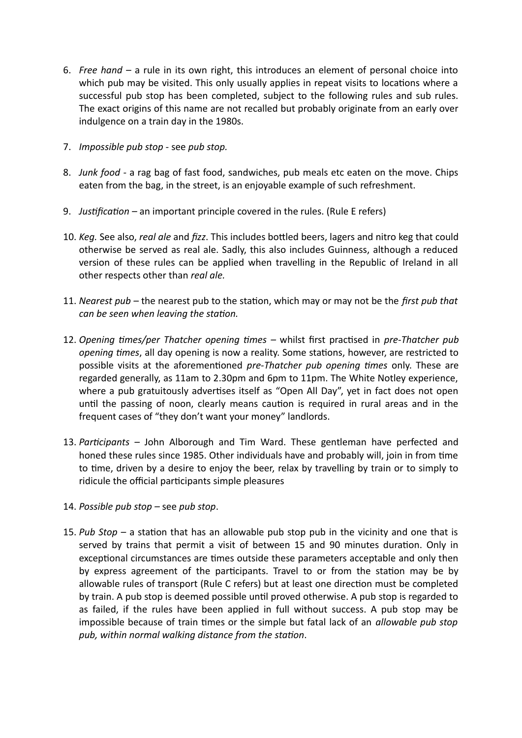- 6. *Free hand* a rule in its own right, this introduces an element of personal choice into which pub may be visited. This only usually applies in repeat visits to locations where a successful pub stop has been completed, subject to the following rules and sub rules. The exact origins of this name are not recalled but probably originate from an early over indulgence on a train day in the 1980s.
- 7. *Impossible pub stop* see *pub stop.*
- 8. *Junk food* a rag bag of fast food, sandwiches, pub meals etc eaten on the move. Chips eaten from the bag, in the street, is an enjoyable example of such refreshment.
- 9. *Justification* an important principle covered in the rules. (Rule E refers)
- 10. *Keg.* See also, *real ale* and *fizz*. This includes bottled beers, lagers and nitro keg that could otherwise be served as real ale. Sadly, this also includes Guinness, although a reduced version of these rules can be applied when travelling in the Republic of Ireland in all other respects other than *real ale.*
- 11. *Nearest pub* the nearest pub to the station, which may or may not be the *first pub that can be seen when leaving the station.*
- 12. *Opening times/per Thatcher opening times* whilst first practised in *pre-Thatcher pub opening times*, all day opening is now a reality. Some stations, however, are restricted to possible visits at the aforementioned *pre-Thatcher pub opening times* only. These are regarded generally, as 11am to 2.30pm and 6pm to 11pm. The White Notley experience, where a pub gratuitously advertises itself as "Open All Day", yet in fact does not open until the passing of noon, clearly means caution is required in rural areas and in the frequent cases of "they don't want your money" landlords.
- 13. *Participants* John Alborough and Tim Ward. These gentleman have perfected and honed these rules since 1985. Other individuals have and probably will, join in from time to time, driven by a desire to enjoy the beer, relax by travelling by train or to simply to ridicule the official participants simple pleasures
- 14. *Possible pub stop* see *pub stop*.
- 15. *Pub Stop* a station that has an allowable pub stop pub in the vicinity and one that is served by trains that permit a visit of between 15 and 90 minutes duration. Only in exceptional circumstances are times outside these parameters acceptable and only then by express agreement of the participants. Travel to or from the station may be by allowable rules of transport (Rule C refers) but at least one direction must be completed by train. A pub stop is deemed possible until proved otherwise. A pub stop is regarded to as failed, if the rules have been applied in full without success. A pub stop may be impossible because of train times or the simple but fatal lack of an *allowable pub stop pub, within normal walking distance from the station*.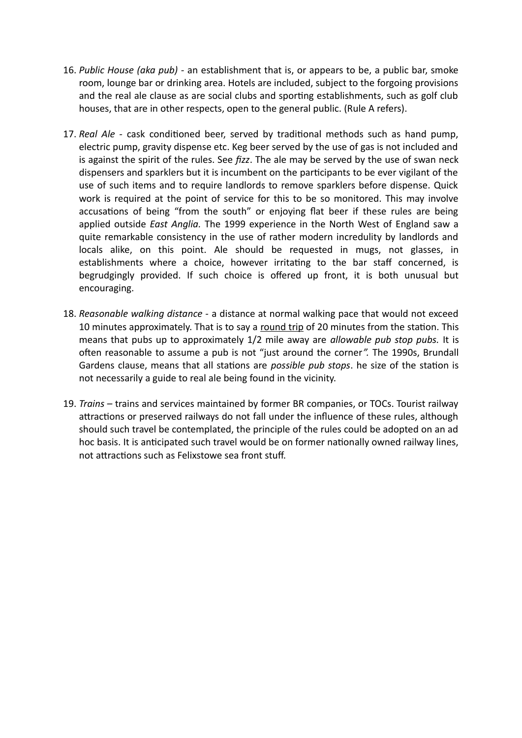- 16. *Public House (aka pub)* an establishment that is, or appears to be, a public bar, smoke room, lounge bar or drinking area. Hotels are included, subject to the forgoing provisions and the real ale clause as are social clubs and sporting establishments, such as golf club houses, that are in other respects, open to the general public. (Rule A refers).
- 17. *Real Ale* cask conditioned beer, served by traditional methods such as hand pump, electric pump, gravity dispense etc. Keg beer served by the use of gas is not included and is against the spirit of the rules. See *fizz*. The ale may be served by the use of swan neck dispensers and sparklers but it is incumbent on the participants to be ever vigilant of the use of such items and to require landlords to remove sparklers before dispense. Quick work is required at the point of service for this to be so monitored. This may involve accusations of being "from the south" or enjoying flat beer if these rules are being applied outside *East Anglia.* The 1999 experience in the North West of England saw a quite remarkable consistency in the use of rather modern incredulity by landlords and locals alike, on this point. Ale should be requested in mugs, not glasses, in establishments where a choice, however irritating to the bar staff concerned, is begrudgingly provided. If such choice is offered up front, it is both unusual but encouraging.
- 18. *Reasonable walking distance* a distance at normal walking pace that would not exceed 10 minutes approximately. That is to say a round trip of 20 minutes from the station. This means that pubs up to approximately 1/2 mile away are *allowable pub stop pubs.* It is often reasonable to assume a pub is not "just around the corner*".* The 1990s, Brundall Gardens clause, means that all stations are *possible pub stops*. he size of the station is not necessarily a guide to real ale being found in the vicinity.
- 19. *Trains* trains and services maintained by former BR companies, or TOCs. Tourist railway attractions or preserved railways do not fall under the influence of these rules, although should such travel be contemplated, the principle of the rules could be adopted on an ad hoc basis. It is anticipated such travel would be on former nationally owned railway lines, not attractions such as Felixstowe sea front stuff.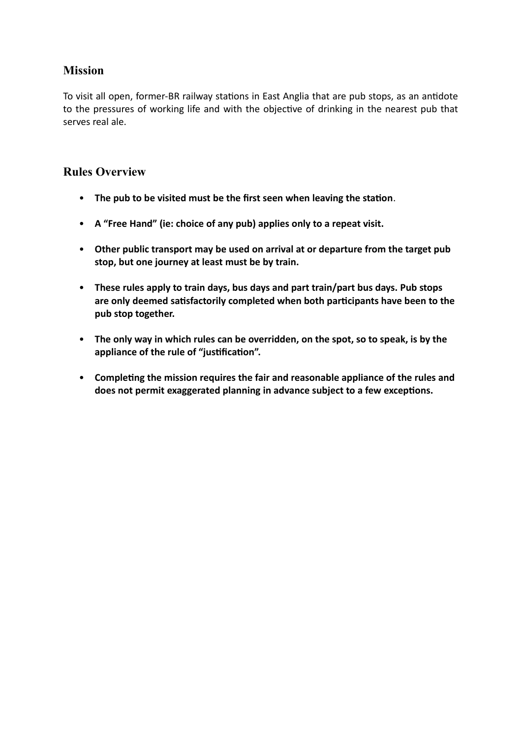# **Mission**

To visit all open, former-BR railway stations in East Anglia that are pub stops, as an antidote to the pressures of working life and with the objective of drinking in the nearest pub that serves real ale.

# **Rules Overview**

- **The pub to be visited must be the first seen when leaving the station**.
- **A "Free Hand" (ie: choice of any pub) applies only to a repeat visit.**
- **Other public transport may be used on arrival at or departure from the target pub stop, but one journey at least must be by train.**
- **These rules apply to train days, bus days and part train/part bus days. Pub stops are only deemed satisfactorily completed when both participants have been to the pub stop together.**
- **The only way in which rules can be overridden, on the spot, so to speak, is by the appliance of the rule of "justification".**
- **Completing the mission requires the fair and reasonable appliance of the rules and does not permit exaggerated planning in advance subject to a few exceptions.**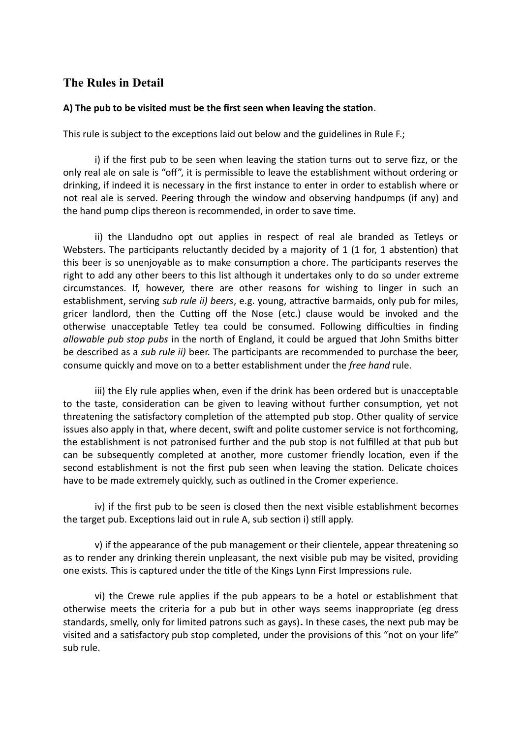## **The Rules in Detail**

#### **A) The pub to be visited must be the first seen when leaving the station**.

This rule is subject to the exceptions laid out below and the guidelines in Rule F.;

i) if the first pub to be seen when leaving the station turns out to serve fizz, or the only real ale on sale is "off", it is permissible to leave the establishment without ordering or drinking, if indeed it is necessary in the first instance to enter in order to establish where or not real ale is served. Peering through the window and observing handpumps (if any) and the hand pump clips thereon is recommended, in order to save time.

ii) the Llandudno opt out applies in respect of real ale branded as Tetleys or Websters. The participants reluctantly decided by a majority of 1 (1 for, 1 abstention) that this beer is so unenjoyable as to make consumption a chore. The participants reserves the right to add any other beers to this list although it undertakes only to do so under extreme circumstances. If, however, there are other reasons for wishing to linger in such an establishment, serving *sub rule ii) beers*, e.g. young, attractive barmaids, only pub for miles, gricer landlord, then the Cutting off the Nose (etc.) clause would be invoked and the otherwise unacceptable Tetley tea could be consumed. Following difficulties in finding *allowable pub stop pubs* in the north of England, it could be argued that John Smiths bitter be described as a *sub rule ii)* beer. The participants are recommended to purchase the beer, consume quickly and move on to a better establishment under the *free hand* rule.

iii) the Ely rule applies when, even if the drink has been ordered but is unacceptable to the taste, consideration can be given to leaving without further consumption, yet not threatening the satisfactory completion of the attempted pub stop. Other quality of service issues also apply in that, where decent, swift and polite customer service is not forthcoming, the establishment is not patronised further and the pub stop is not fulfilled at that pub but can be subsequently completed at another, more customer friendly location, even if the second establishment is not the first pub seen when leaving the station. Delicate choices have to be made extremely quickly, such as outlined in the Cromer experience.

iv) if the first pub to be seen is closed then the next visible establishment becomes the target pub. Exceptions laid out in rule A, sub section i) still apply.

v) if the appearance of the pub management or their clientele, appear threatening so as to render any drinking therein unpleasant, the next visible pub may be visited, providing one exists. This is captured under the title of the Kings Lynn First Impressions rule.

vi) the Crewe rule applies if the pub appears to be a hotel or establishment that otherwise meets the criteria for a pub but in other ways seems inappropriate (eg dress standards, smelly, only for limited patrons such as gays)**.** In these cases, the next pub may be visited and a satisfactory pub stop completed, under the provisions of this "not on your life" sub rule.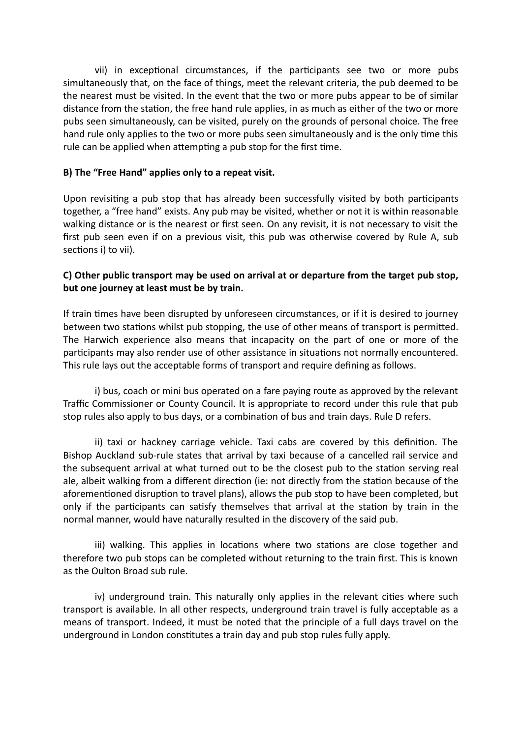vii) in exceptional circumstances, if the participants see two or more pubs simultaneously that, on the face of things, meet the relevant criteria, the pub deemed to be the nearest must be visited. In the event that the two or more pubs appear to be of similar distance from the station, the free hand rule applies, in as much as either of the two or more pubs seen simultaneously, can be visited, purely on the grounds of personal choice. The free hand rule only applies to the two or more pubs seen simultaneously and is the only time this rule can be applied when attempting a pub stop for the first time.

#### **B) The "Free Hand" applies only to a repeat visit.**

Upon revisiting a pub stop that has already been successfully visited by both participants together, a "free hand" exists. Any pub may be visited, whether or not it is within reasonable walking distance or is the nearest or first seen. On any revisit, it is not necessary to visit the first pub seen even if on a previous visit, this pub was otherwise covered by Rule A, sub sections i) to vii).

#### **C) Other public transport may be used on arrival at or departure from the target pub stop, but one journey at least must be by train.**

If train times have been disrupted by unforeseen circumstances, or if it is desired to journey between two stations whilst pub stopping, the use of other means of transport is permitted. The Harwich experience also means that incapacity on the part of one or more of the participants may also render use of other assistance in situations not normally encountered. This rule lays out the acceptable forms of transport and require defining as follows.

i) bus, coach or mini bus operated on a fare paying route as approved by the relevant Traffic Commissioner or County Council. It is appropriate to record under this rule that pub stop rules also apply to bus days, or a combination of bus and train days. Rule D refers.

ii) taxi or hackney carriage vehicle. Taxi cabs are covered by this definition. The Bishop Auckland sub-rule states that arrival by taxi because of a cancelled rail service and the subsequent arrival at what turned out to be the closest pub to the station serving real ale, albeit walking from a different direction (ie: not directly from the station because of the aforementioned disruption to travel plans), allows the pub stop to have been completed, but only if the participants can satisfy themselves that arrival at the station by train in the normal manner, would have naturally resulted in the discovery of the said pub.

iii) walking. This applies in locations where two stations are close together and therefore two pub stops can be completed without returning to the train first. This is known as the Oulton Broad sub rule.

iv) underground train. This naturally only applies in the relevant cities where such transport is available. In all other respects, underground train travel is fully acceptable as a means of transport. Indeed, it must be noted that the principle of a full days travel on the underground in London constitutes a train day and pub stop rules fully apply.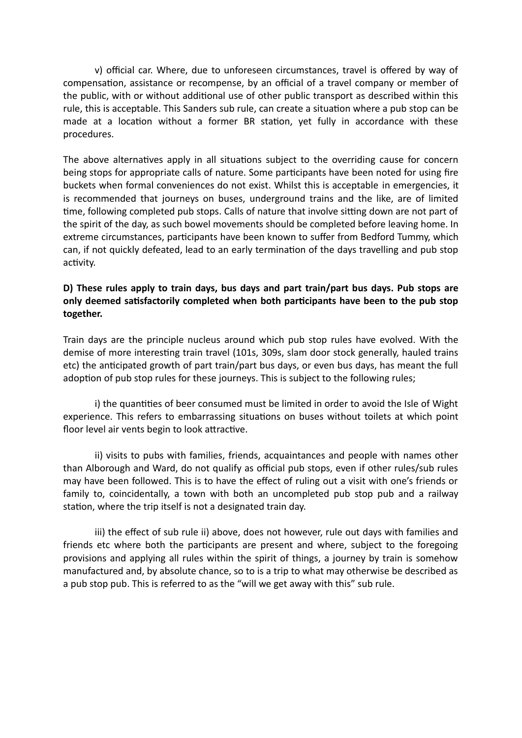v) official car. Where, due to unforeseen circumstances, travel is offered by way of compensation, assistance or recompense, by an official of a travel company or member of the public, with or without additional use of other public transport as described within this rule, this is acceptable. This Sanders sub rule, can create a situation where a pub stop can be made at a location without a former BR station, yet fully in accordance with these procedures.

The above alternatives apply in all situations subject to the overriding cause for concern being stops for appropriate calls of nature. Some participants have been noted for using fire buckets when formal conveniences do not exist. Whilst this is acceptable in emergencies, it is recommended that journeys on buses, underground trains and the like, are of limited time, following completed pub stops. Calls of nature that involve sitting down are not part of the spirit of the day, as such bowel movements should be completed before leaving home. In extreme circumstances, participants have been known to suffer from Bedford Tummy, which can, if not quickly defeated, lead to an early termination of the days travelling and pub stop activity.

#### **D) These rules apply to train days, bus days and part train/part bus days. Pub stops are only deemed satisfactorily completed when both participants have been to the pub stop together.**

Train days are the principle nucleus around which pub stop rules have evolved. With the demise of more interesting train travel (101s, 309s, slam door stock generally, hauled trains etc) the anticipated growth of part train/part bus days, or even bus days, has meant the full adoption of pub stop rules for these journeys. This is subject to the following rules;

i) the quantities of beer consumed must be limited in order to avoid the Isle of Wight experience. This refers to embarrassing situations on buses without toilets at which point floor level air vents begin to look attractive.

ii) visits to pubs with families, friends, acquaintances and people with names other than Alborough and Ward, do not qualify as official pub stops, even if other rules/sub rules may have been followed. This is to have the effect of ruling out a visit with one's friends or family to, coincidentally, a town with both an uncompleted pub stop pub and a railway station, where the trip itself is not a designated train day.

iii) the effect of sub rule ii) above, does not however, rule out days with families and friends etc where both the participants are present and where, subject to the foregoing provisions and applying all rules within the spirit of things, a journey by train is somehow manufactured and, by absolute chance, so to is a trip to what may otherwise be described as a pub stop pub. This is referred to as the "will we get away with this" sub rule.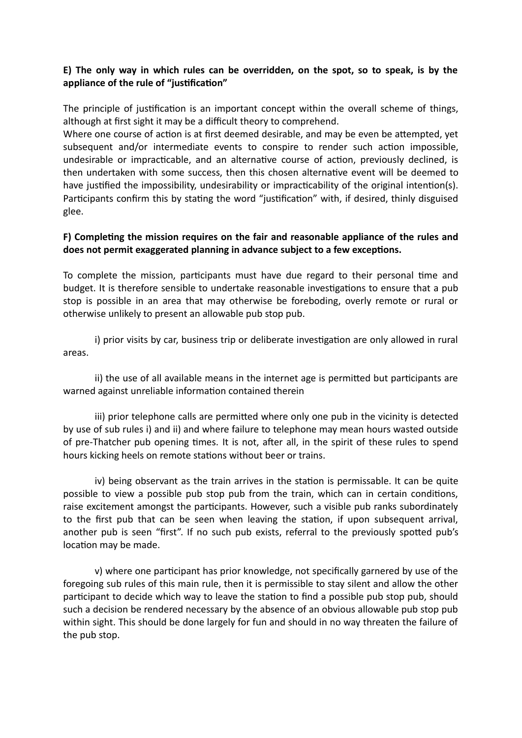#### **E) The only way in which rules can be overridden, on the spot, so to speak, is by the appliance of the rule of "justification"**

The principle of justification is an important concept within the overall scheme of things, although at first sight it may be a difficult theory to comprehend.

Where one course of action is at first deemed desirable, and may be even be attempted, yet subsequent and/or intermediate events to conspire to render such action impossible, undesirable or impracticable, and an alternative course of action, previously declined, is then undertaken with some success, then this chosen alternative event will be deemed to have justified the impossibility, undesirability or impracticability of the original intention(s). Participants confirm this by stating the word "justification" with, if desired, thinly disguised glee.

#### **F) Completing the mission requires on the fair and reasonable appliance of the rules and does not permit exaggerated planning in advance subject to a few exceptions.**

To complete the mission, participants must have due regard to their personal time and budget. It is therefore sensible to undertake reasonable investigations to ensure that a pub stop is possible in an area that may otherwise be foreboding, overly remote or rural or otherwise unlikely to present an allowable pub stop pub.

i) prior visits by car, business trip or deliberate investigation are only allowed in rural areas.

ii) the use of all available means in the internet age is permitted but participants are warned against unreliable information contained therein

iii) prior telephone calls are permitted where only one pub in the vicinity is detected by use of sub rules i) and ii) and where failure to telephone may mean hours wasted outside of pre-Thatcher pub opening times. It is not, after all, in the spirit of these rules to spend hours kicking heels on remote stations without beer or trains.

iv) being observant as the train arrives in the station is permissable. It can be quite possible to view a possible pub stop pub from the train, which can in certain conditions, raise excitement amongst the participants. However, such a visible pub ranks subordinately to the first pub that can be seen when leaving the station, if upon subsequent arrival, another pub is seen "first". If no such pub exists, referral to the previously spotted pub's location may be made.

v) where one participant has prior knowledge, not specifically garnered by use of the foregoing sub rules of this main rule, then it is permissible to stay silent and allow the other participant to decide which way to leave the station to find a possible pub stop pub, should such a decision be rendered necessary by the absence of an obvious allowable pub stop pub within sight. This should be done largely for fun and should in no way threaten the failure of the pub stop.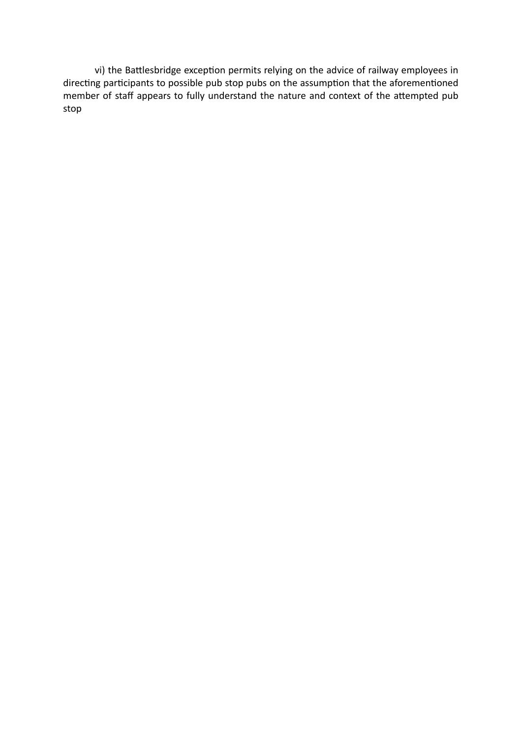vi) the Battlesbridge exception permits relying on the advice of railway employees in directing participants to possible pub stop pubs on the assumption that the aforementioned member of staff appears to fully understand the nature and context of the attempted pub stop